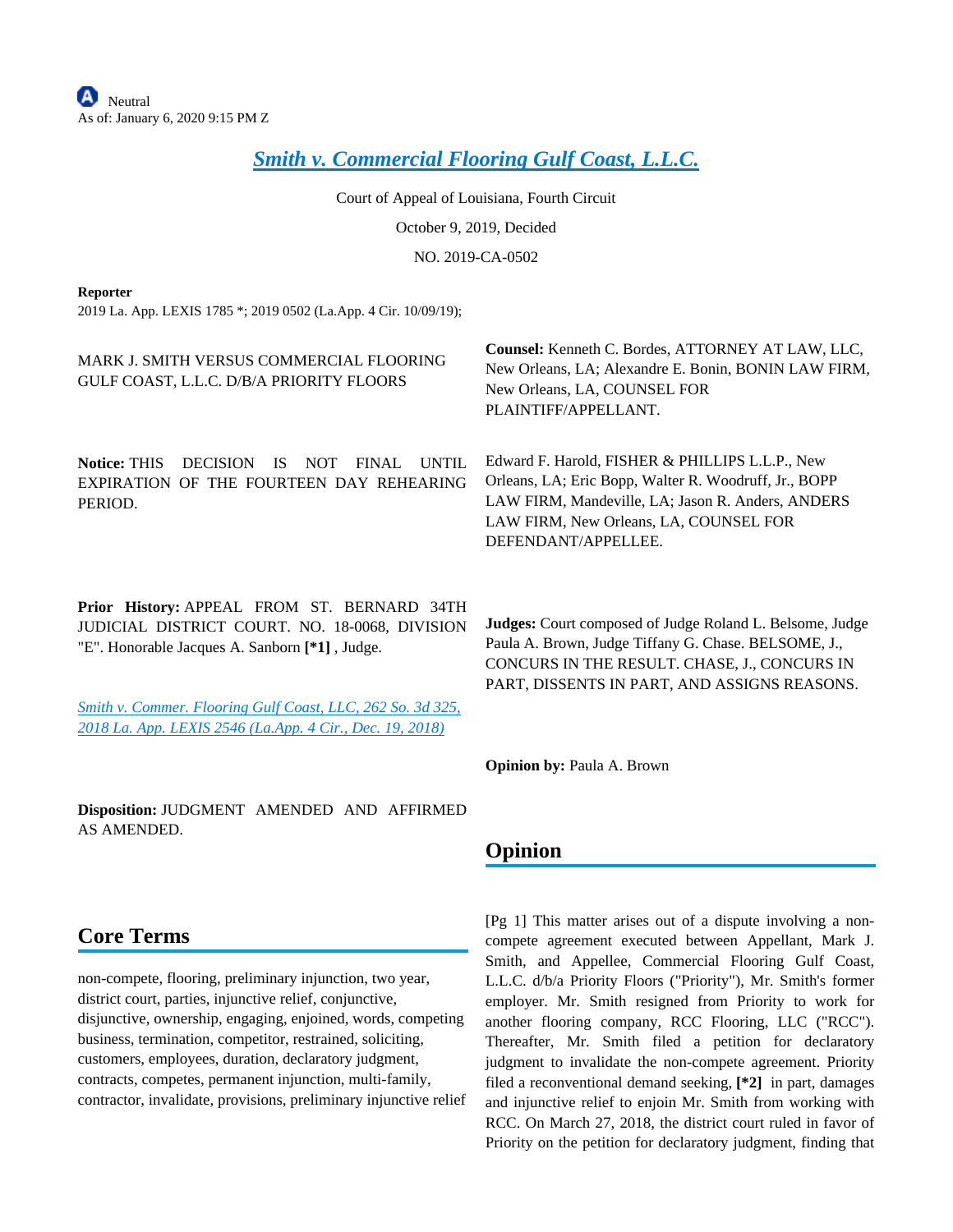# *[Smith v. Commercial Flooring Gulf Coast, L.L.C.](https://advance.lexis.com/api/document?collection=cases&id=urn:contentItem:5X7F-29F1-FG12-647M-00000-00&context=)*

Court of Appeal of Louisiana, Fourth Circuit October 9, 2019, Decided NO. 2019-CA-0502

#### **Reporter**

2019 La. App. LEXIS 1785 \*; 2019 0502 (La.App. 4 Cir. 10/09/19);

| MARK J. SMITH VERSUS COMMERCIAL FLOORING<br>GULF COAST, L.L.C. D/B/A PRIORITY FLOORS                                                                                                                                                                                      | Counsel: Kenneth C. Bordes, ATTORNEY AT LAW, LLC,<br>New Orleans, LA; Alexandre E. Bonin, BONIN LAW FIRM,<br>New Orleans, LA, COUNSEL FOR<br>PLAINTIFF/APPELLANT.                                                                             |
|---------------------------------------------------------------------------------------------------------------------------------------------------------------------------------------------------------------------------------------------------------------------------|-----------------------------------------------------------------------------------------------------------------------------------------------------------------------------------------------------------------------------------------------|
| <b>Notice: THIS</b><br><b>UNTIL</b><br><b>DECISION</b><br><b>IS</b><br><b>NOT</b><br><b>FINAL</b><br>EXPIRATION OF THE FOURTEEN DAY REHEARING<br>PERIOD.                                                                                                                  | Edward F. Harold, FISHER & PHILLIPS L.L.P., New<br>Orleans, LA; Eric Bopp, Walter R. Woodruff, Jr., BOPP<br>LAW FIRM, Mandeville, LA; Jason R. Anders, ANDERS<br>LAW FIRM, New Orleans, LA, COUNSEL FOR<br>DEFENDANT/APPELLEE.                |
| Prior History: APPEAL FROM ST. BERNARD 34TH<br>JUDICIAL DISTRICT COURT. NO. 18-0068, DIVISION<br>"E". Honorable Jacques A. Sanborn [*1], Judge.<br>Smith v. Commer. Flooring Gulf Coast, LLC, 262 So. 3d 325,<br>2018 La. App. LEXIS 2546 (La.App. 4 Cir., Dec. 19, 2018) | Judges: Court composed of Judge Roland L. Belsome, Judge<br>Paula A. Brown, Judge Tiffany G. Chase. BELSOME, J.,<br>CONCURS IN THE RESULT. CHASE, J., CONCURS IN<br>PART, DISSENTS IN PART, AND ASSIGNS REASONS.                              |
|                                                                                                                                                                                                                                                                           | Opinion by: Paula A. Brown                                                                                                                                                                                                                    |
| Disposition: JUDGMENT AMENDED AND AFFIRMED<br>AS AMENDED.                                                                                                                                                                                                                 | Opinion                                                                                                                                                                                                                                       |
| <b>Core Terms</b><br>non-compete, flooring, preliminary injunction, two year,                                                                                                                                                                                             | [Pg 1] This matter arises out of a dispute involving a non-<br>compete agreement executed between Appellant, Mark J.<br>Smith, and Appellee, Commercial Flooring Gulf Coast,<br>L.L.C. d/b/a Priority Floors ("Priority"), Mr. Smith's former |

district court, parties, injunctive relief, conjunctive, disjunctive, ownership, engaging, enjoined, words, competing business, termination, competitor, restrained, soliciting, customers, employees, duration, declaratory judgment, contracts, competes, permanent injunction, multi-family, contractor, invalidate, provisions, preliminary injunctive relief

compete agreement executed between Appellant, Mark J. Smith, and Appellee, Commercial Flooring Gulf Coast, L.L.C. d/b/a Priority Floors ("Priority"), Mr. Smith's former employer. Mr. Smith resigned from Priority to work for another flooring company, RCC Flooring, LLC ("RCC"). Thereafter, Mr. Smith filed a petition for declaratory judgment to invalidate the non-compete agreement. Priority filed a reconventional demand seeking, **[\*2]** in part, damages and injunctive relief to enjoin Mr. Smith from working with RCC. On March 27, 2018, the district court ruled in favor of Priority on the petition for declaratory judgment, finding that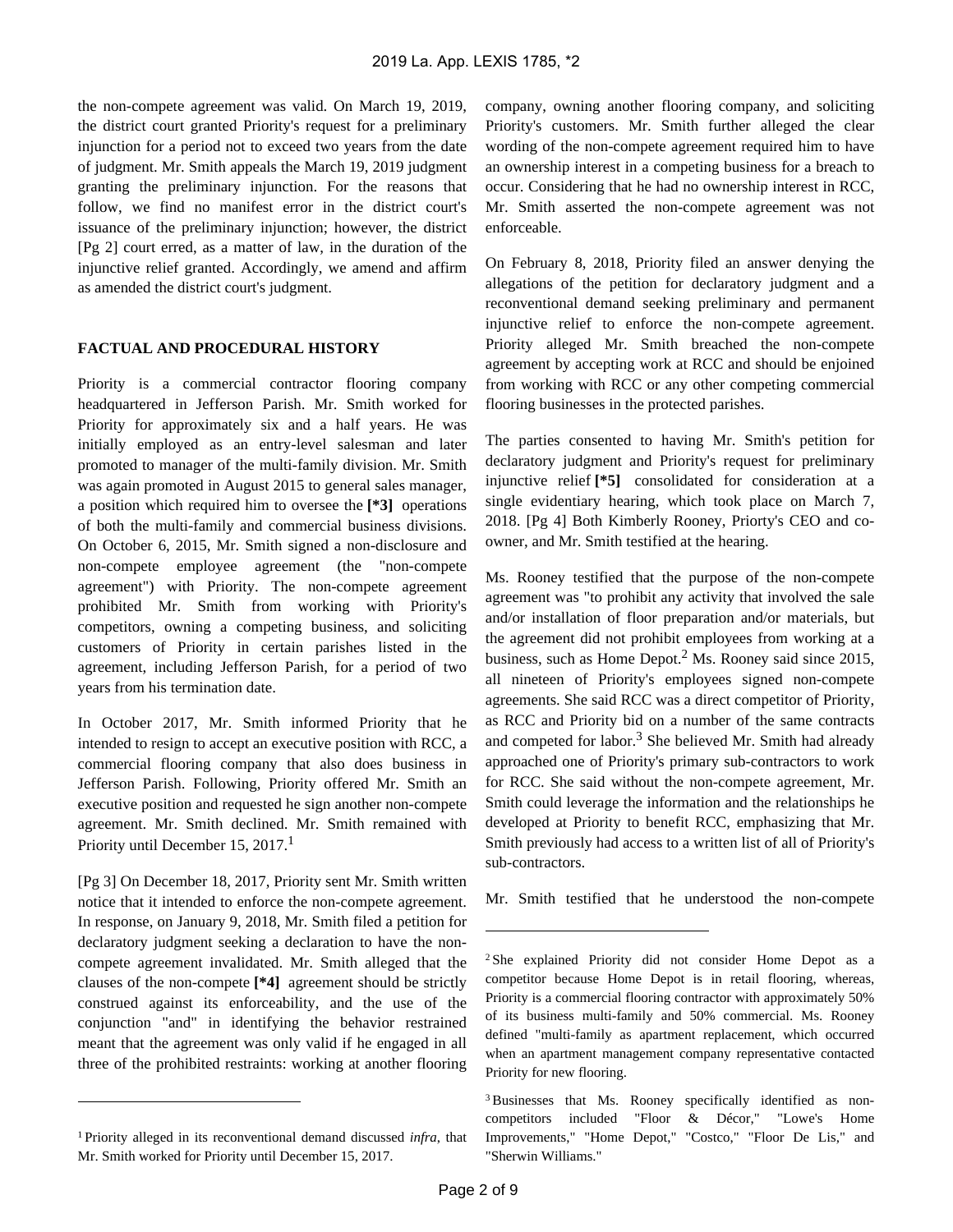the non-compete agreement was valid. On March 19, 2019, the district court granted Priority's request for a preliminary injunction for a period not to exceed two years from the date of judgment. Mr. Smith appeals the March 19, 2019 judgment granting the preliminary injunction. For the reasons that follow, we find no manifest error in the district court's issuance of the preliminary injunction; however, the district [Pg 2] court erred, as a matter of law, in the duration of the injunctive relief granted. Accordingly, we amend and affirm as amended the district court's judgment.

#### **FACTUAL AND PROCEDURAL HISTORY**

Priority is a commercial contractor flooring company headquartered in Jefferson Parish. Mr. Smith worked for Priority for approximately six and a half years. He was initially employed as an entry-level salesman and later promoted to manager of the multi-family division. Mr. Smith was again promoted in August 2015 to general sales manager, a position which required him to oversee the **[\*3]** operations of both the multi-family and commercial business divisions. On October 6, 2015, Mr. Smith signed a non-disclosure and non-compete employee agreement (the "non-compete agreement") with Priority. The non-compete agreement prohibited Mr. Smith from working with Priority's competitors, owning a competing business, and soliciting customers of Priority in certain parishes listed in the agreement, including Jefferson Parish, for a period of two years from his termination date.

In October 2017, Mr. Smith informed Priority that he intended to resign to accept an executive position with RCC, a commercial flooring company that also does business in Jefferson Parish. Following, Priority offered Mr. Smith an executive position and requested he sign another non-compete agreement. Mr. Smith declined. Mr. Smith remained with Priority until December 15, 2017.<sup>1</sup>

[Pg 3] On December 18, 2017, Priority sent Mr. Smith written notice that it intended to enforce the non-compete agreement. In response, on January 9, 2018, Mr. Smith filed a petition for declaratory judgment seeking a declaration to have the noncompete agreement invalidated. Mr. Smith alleged that the clauses of the non-compete **[\*4]** agreement should be strictly construed against its enforceability, and the use of the conjunction "and" in identifying the behavior restrained meant that the agreement was only valid if he engaged in all three of the prohibited restraints: working at another flooring

company, owning another flooring company, and soliciting Priority's customers. Mr. Smith further alleged the clear wording of the non-compete agreement required him to have an ownership interest in a competing business for a breach to occur. Considering that he had no ownership interest in RCC, Mr. Smith asserted the non-compete agreement was not enforceable.

On February 8, 2018, Priority filed an answer denying the allegations of the petition for declaratory judgment and a reconventional demand seeking preliminary and permanent injunctive relief to enforce the non-compete agreement. Priority alleged Mr. Smith breached the non-compete agreement by accepting work at RCC and should be enjoined from working with RCC or any other competing commercial flooring businesses in the protected parishes.

The parties consented to having Mr. Smith's petition for declaratory judgment and Priority's request for preliminary injunctive relief **[\*5]** consolidated for consideration at a single evidentiary hearing, which took place on March 7, 2018. [Pg 4] Both Kimberly Rooney, Priorty's CEO and coowner, and Mr. Smith testified at the hearing.

Ms. Rooney testified that the purpose of the non-compete agreement was "to prohibit any activity that involved the sale and/or installation of floor preparation and/or materials, but the agreement did not prohibit employees from working at a business, such as Home Depot.<sup>2</sup> Ms. Rooney said since 2015, all nineteen of Priority's employees signed non-compete agreements. She said RCC was a direct competitor of Priority, as RCC and Priority bid on a number of the same contracts and competed for labor.<sup>3</sup> She believed Mr. Smith had already approached one of Priority's primary sub-contractors to work for RCC. She said without the non-compete agreement, Mr. Smith could leverage the information and the relationships he developed at Priority to benefit RCC, emphasizing that Mr. Smith previously had access to a written list of all of Priority's sub-contractors.

Mr. Smith testified that he understood the non-compete

3 Businesses that Ms. Rooney specifically identified as noncompetitors included "Floor & Décor," "Lowe's Home Improvements," "Home Depot," "Costco," "Floor De Lis," and "Sherwin Williams."

<sup>1</sup>Priority alleged in its reconventional demand discussed *infra*, that Mr. Smith worked for Priority until December 15, 2017.

<sup>2</sup>She explained Priority did not consider Home Depot as a competitor because Home Depot is in retail flooring, whereas, Priority is a commercial flooring contractor with approximately 50% of its business multi-family and 50% commercial. Ms. Rooney defined "multi-family as apartment replacement, which occurred when an apartment management company representative contacted Priority for new flooring.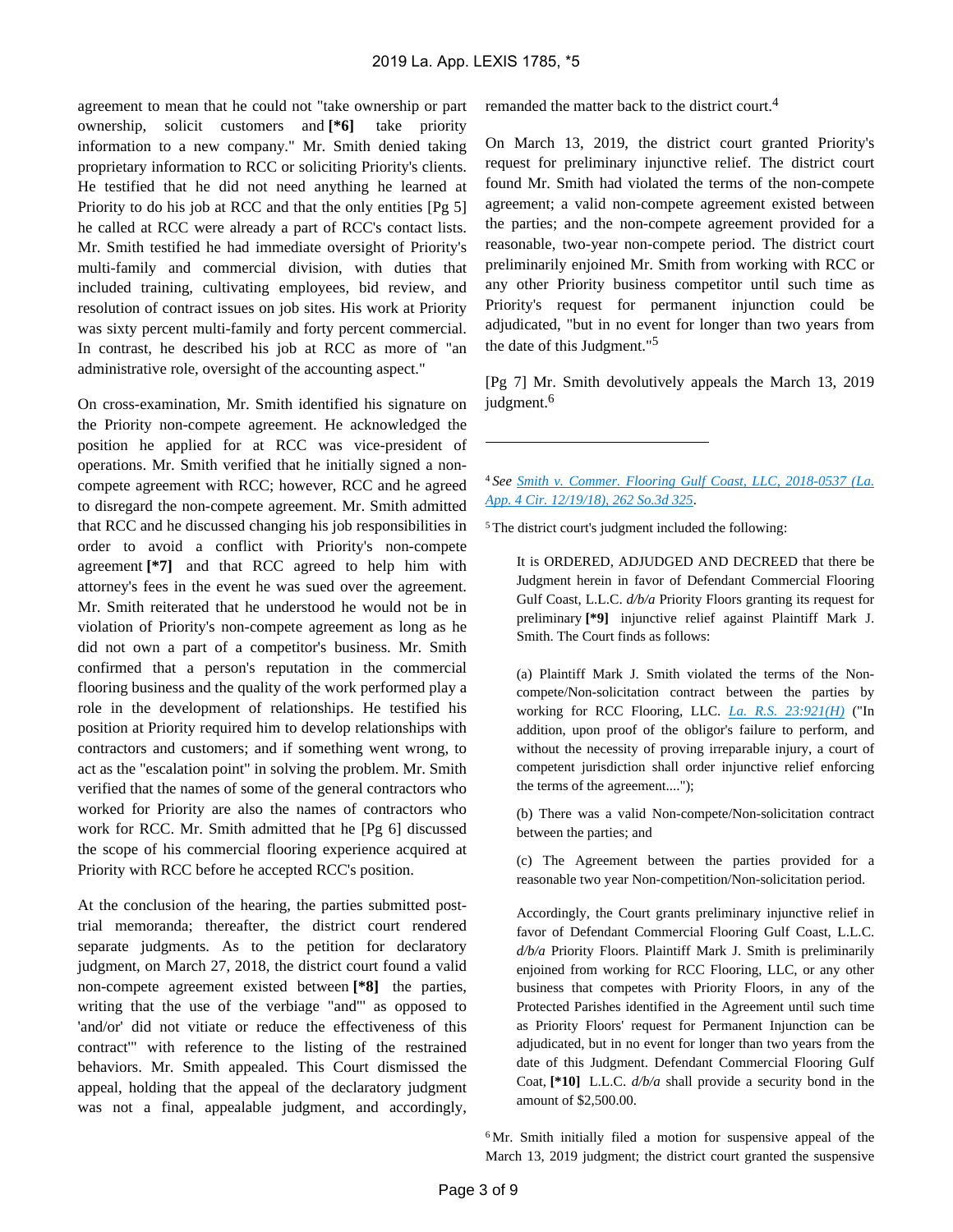agreement to mean that he could not "take ownership or part ownership, solicit customers and **[\*6]** take priority information to a new company." Mr. Smith denied taking proprietary information to RCC or soliciting Priority's clients. He testified that he did not need anything he learned at Priority to do his job at RCC and that the only entities [Pg 5] he called at RCC were already a part of RCC's contact lists. Mr. Smith testified he had immediate oversight of Priority's multi-family and commercial division, with duties that included training, cultivating employees, bid review, and resolution of contract issues on job sites. His work at Priority was sixty percent multi-family and forty percent commercial. In contrast, he described his job at RCC as more of "an administrative role, oversight of the accounting aspect."

On cross-examination, Mr. Smith identified his signature on the Priority non-compete agreement. He acknowledged the position he applied for at RCC was vice-president of operations. Mr. Smith verified that he initially signed a noncompete agreement with RCC; however, RCC and he agreed to disregard the non-compete agreement. Mr. Smith admitted that RCC and he discussed changing his job responsibilities in order to avoid a conflict with Priority's non-compete agreement **[\*7]** and that RCC agreed to help him with attorney's fees in the event he was sued over the agreement. Mr. Smith reiterated that he understood he would not be in violation of Priority's non-compete agreement as long as he did not own a part of a competitor's business. Mr. Smith confirmed that a person's reputation in the commercial flooring business and the quality of the work performed play a role in the development of relationships. He testified his position at Priority required him to develop relationships with contractors and customers; and if something went wrong, to act as the "escalation point" in solving the problem. Mr. Smith verified that the names of some of the general contractors who worked for Priority are also the names of contractors who work for RCC. Mr. Smith admitted that he [Pg 6] discussed the scope of his commercial flooring experience acquired at Priority with RCC before he accepted RCC's position.

At the conclusion of the hearing, the parties submitted posttrial memoranda; thereafter, the district court rendered separate judgments. As to the petition for declaratory judgment, on March 27, 2018, the district court found a valid non-compete agreement existed between **[\*8]** the parties, writing that the use of the verbiage "and"' as opposed to 'and/or' did not vitiate or reduce the effectiveness of this contract'" with reference to the listing of the restrained behaviors. Mr. Smith appealed. This Court dismissed the appeal, holding that the appeal of the declaratory judgment was not a final, appealable judgment, and accordingly, remanded the matter back to the district court.<sup>4</sup>

On March 13, 2019, the district court granted Priority's request for preliminary injunctive relief. The district court found Mr. Smith had violated the terms of the non-compete agreement; a valid non-compete agreement existed between the parties; and the non-compete agreement provided for a reasonable, two-year non-compete period. The district court preliminarily enjoined Mr. Smith from working with RCC or any other Priority business competitor until such time as Priority's request for permanent injunction could be adjudicated, "but in no event for longer than two years from the date of this Judgment."<sup>5</sup>

[Pg 7] Mr. Smith devolutively appeals the March 13, 2019 judgment.<sup>6</sup>

<sup>4</sup>*See [Smith v. Commer. Flooring Gulf Coast, LLC, 2018-0537 \(La.](https://advance.lexis.com/api/document?collection=cases&id=urn:contentItem:5V0R-PKC1-JCRC-B0RY-00000-00&context=)  [App. 4 Cir. 12/19/18\), 262 So.3d 325](https://advance.lexis.com/api/document?collection=cases&id=urn:contentItem:5V0R-PKC1-JCRC-B0RY-00000-00&context=)*.

<sup>5</sup>The district court's judgment included the following:

It is ORDERED, ADJUDGED AND DECREED that there be Judgment herein in favor of Defendant Commercial Flooring Gulf Coast, L.L.C. *d/b/a* Priority Floors granting its request for preliminary **[\*9]** injunctive relief against Plaintiff Mark J. Smith. The Court finds as follows:

(a) Plaintiff Mark J. Smith violated the terms of the Noncompete/Non-solicitation contract between the parties by working for RCC Flooring, LLC. *[La. R.S. 23:921\(H\)](https://advance.lexis.com/api/document?collection=statutes-legislation&id=urn:contentItem:5GCR-5K51-DXC8-0121-00000-00&context=)* ("In addition, upon proof of the obligor's failure to perform, and without the necessity of proving irreparable injury, a court of competent jurisdiction shall order injunctive relief enforcing the terms of the agreement....");

(b) There was a valid Non-compete/Non-solicitation contract between the parties; and

(c) The Agreement between the parties provided for a reasonable two year Non-competition/Non-solicitation period.

Accordingly, the Court grants preliminary injunctive relief in favor of Defendant Commercial Flooring Gulf Coast, L.L.C. *d/b/a* Priority Floors. Plaintiff Mark J. Smith is preliminarily enjoined from working for RCC Flooring, LLC, or any other business that competes with Priority Floors, in any of the Protected Parishes identified in the Agreement until such time as Priority Floors' request for Permanent Injunction can be adjudicated, but in no event for longer than two years from the date of this Judgment. Defendant Commercial Flooring Gulf Coat, **[\*10]** L.L.C. *d/b/a* shall provide a security bond in the amount of \$2,500.00.

<sup>6</sup>Mr. Smith initially filed a motion for suspensive appeal of the March 13, 2019 judgment; the district court granted the suspensive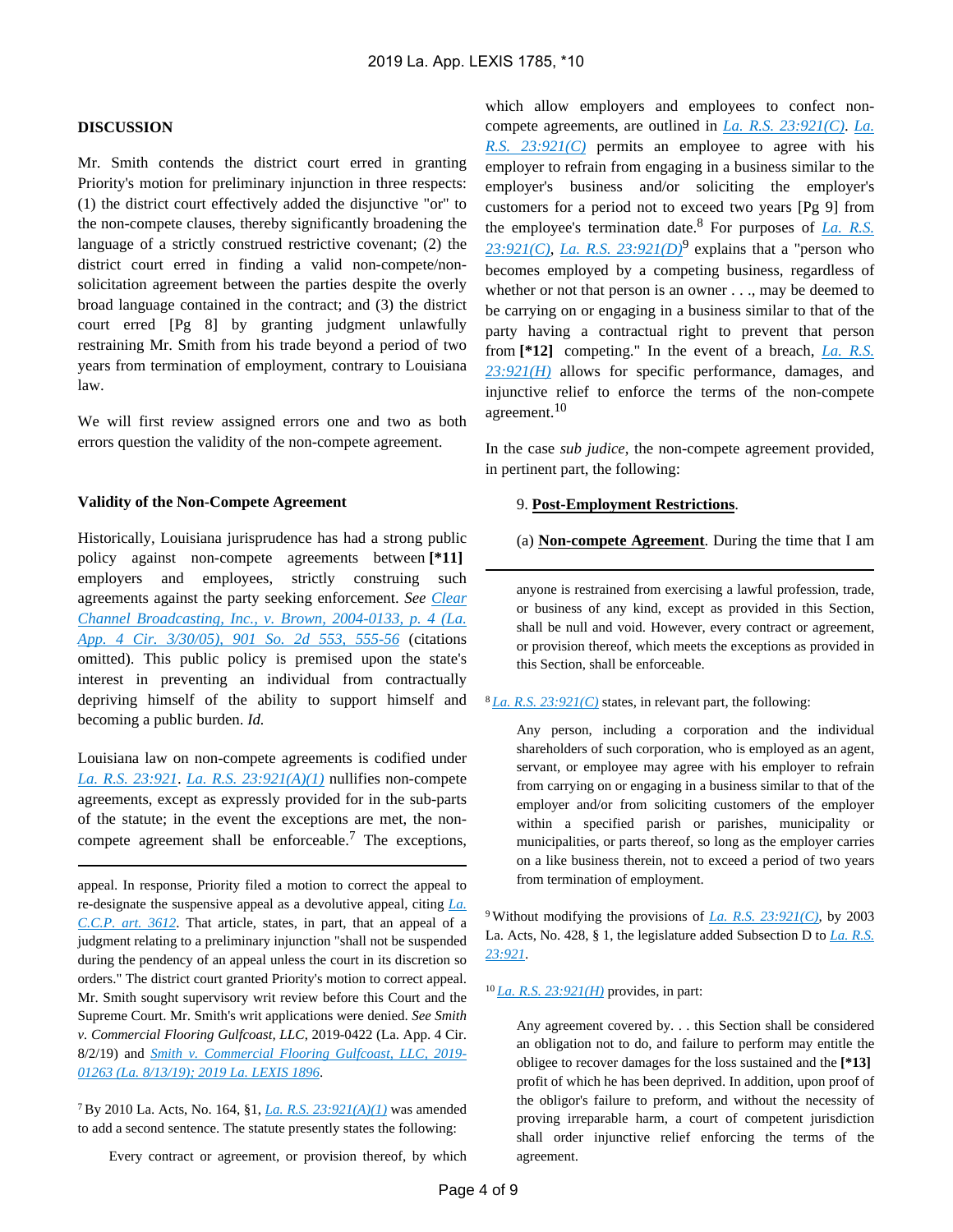### **DISCUSSION**

Mr. Smith contends the district court erred in granting Priority's motion for preliminary injunction in three respects: (1) the district court effectively added the disjunctive "or" to the non-compete clauses, thereby significantly broadening the language of a strictly construed restrictive covenant; (2) the district court erred in finding a valid non-compete/nonsolicitation agreement between the parties despite the overly broad language contained in the contract; and (3) the district court erred [Pg 8] by granting judgment unlawfully restraining Mr. Smith from his trade beyond a period of two years from termination of employment, contrary to Louisiana law.

We will first review assigned errors one and two as both errors question the validity of the non-compete agreement.

#### **Validity of the Non-Compete Agreement**

Historically, Louisiana jurisprudence has had a strong public policy against non-compete agreements between **[\*11]**  employers and employees, strictly construing such agreements against the party seeking enforcement. *See [Clear](https://advance.lexis.com/api/document?collection=cases&id=urn:contentItem:4G0D-CCX0-0039-414B-00000-00&context=)  [Channel Broadcasting, Inc., v. Brown, 2004-0133, p. 4 \(La.](https://advance.lexis.com/api/document?collection=cases&id=urn:contentItem:4G0D-CCX0-0039-414B-00000-00&context=)  [App. 4 Cir. 3/30/05\), 901 So. 2d 553, 555-56](https://advance.lexis.com/api/document?collection=cases&id=urn:contentItem:4G0D-CCX0-0039-414B-00000-00&context=)* (citations omitted). This public policy is premised upon the state's interest in preventing an individual from contractually depriving himself of the ability to support himself and becoming a public burden. *Id.*

Louisiana law on non-compete agreements is codified under *[La. R.S. 23:921](https://advance.lexis.com/api/document?collection=statutes-legislation&id=urn:contentItem:5GCR-5K51-DXC8-0121-00000-00&context=)*. *[La. R.S. 23:921\(A\)\(1\)](https://advance.lexis.com/api/document?collection=statutes-legislation&id=urn:contentItem:5GCR-5K51-DXC8-0121-00000-00&context=)* nullifies non-compete agreements, except as expressly provided for in the sub-parts of the statute; in the event the exceptions are met, the noncompete agreement shall be enforceable.<sup>7</sup> The exceptions,

appeal. In response, Priority filed a motion to correct the appeal to re-designate the suspensive appeal as a devolutive appeal, citing *[La.](https://advance.lexis.com/api/document?collection=statutes-legislation&id=urn:contentItem:5FGM-01D1-DYB7-W09H-00000-00&context=)  [C.C.P. art. 3612](https://advance.lexis.com/api/document?collection=statutes-legislation&id=urn:contentItem:5FGM-01D1-DYB7-W09H-00000-00&context=)*. That article, states, in part, that an appeal of a judgment relating to a preliminary injunction "shall not be suspended during the pendency of an appeal unless the court in its discretion so orders." The district court granted Priority's motion to correct appeal. Mr. Smith sought supervisory writ review before this Court and the Supreme Court. Mr. Smith's writ applications were denied. *See Smith v. Commercial Flooring Gulfcoast, LLC*, 2019-0422 (La. App. 4 Cir. 8/2/19) and *[Smith v. Commercial Flooring Gulfcoast, LLC, 2019-](https://advance.lexis.com/api/document?collection=cases&id=urn:contentItem:5WXW-F411-JXG3-X1BK-00000-00&context=) [01263 \(La. 8/13/19\); 2019 La. LEXIS 1896](https://advance.lexis.com/api/document?collection=cases&id=urn:contentItem:5WXW-F411-JXG3-X1BK-00000-00&context=)*.

<sup>7</sup>By 2010 La. Acts, No. 164, §1, *[La. R.S. 23:921\(A\)\(1\)](https://advance.lexis.com/api/document?collection=statutes-legislation&id=urn:contentItem:5GCR-5K51-DXC8-0121-00000-00&context=)* was amended to add a second sentence. The statute presently states the following:

Every contract or agreement, or provision thereof, by which

which allow employers and employees to confect noncompete agreements, are outlined in *[La. R.S. 23:921\(C\)](https://advance.lexis.com/api/document?collection=statutes-legislation&id=urn:contentItem:5GCR-5K51-DXC8-0121-00000-00&context=)*. *[La.](https://advance.lexis.com/api/document?collection=statutes-legislation&id=urn:contentItem:5GCR-5K51-DXC8-0121-00000-00&context=)  [R.S. 23:921\(C\)](https://advance.lexis.com/api/document?collection=statutes-legislation&id=urn:contentItem:5GCR-5K51-DXC8-0121-00000-00&context=)* permits an employee to agree with his employer to refrain from engaging in a business similar to the employer's business and/or soliciting the employer's customers for a period not to exceed two years [Pg 9] from the employee's termination date.<sup>8</sup> For purposes of *[La. R.S.](https://advance.lexis.com/api/document?collection=statutes-legislation&id=urn:contentItem:5GCR-5K51-DXC8-0121-00000-00&context=)*   $23:921(C)$ , *La. R.S.*  $23:921(D)^9$  explains that a "person who becomes employed by a competing business, regardless of whether or not that person is an owner . . ., may be deemed to be carrying on or engaging in a business similar to that of the party having a contractual right to prevent that person from **[\*12]** competing." In the event of a breach, *[La. R.S.](https://advance.lexis.com/api/document?collection=statutes-legislation&id=urn:contentItem:5GCR-5K51-DXC8-0121-00000-00&context=)  [23:921\(H\)](https://advance.lexis.com/api/document?collection=statutes-legislation&id=urn:contentItem:5GCR-5K51-DXC8-0121-00000-00&context=)* allows for specific performance, damages, and injunctive relief to enforce the terms of the non-compete agreement.<sup>10</sup>

In the case *sub judice*, the non-compete agreement provided, in pertinent part, the following:

#### 9. **Post-Employment Restrictions**.

(a) **Non-compete Agreement**. During the time that I am

anyone is restrained from exercising a lawful profession, trade, or business of any kind, except as provided in this Section, shall be null and void. However, every contract or agreement, or provision thereof, which meets the exceptions as provided in this Section, shall be enforceable.

#### <sup>8</sup>*[La. R.S. 23:921\(C\)](https://advance.lexis.com/api/document?collection=statutes-legislation&id=urn:contentItem:5GCR-5K51-DXC8-0121-00000-00&context=)* states, in relevant part, the following:

Any person, including a corporation and the individual shareholders of such corporation, who is employed as an agent, servant, or employee may agree with his employer to refrain from carrying on or engaging in a business similar to that of the employer and/or from soliciting customers of the employer within a specified parish or parishes, municipality or municipalities, or parts thereof, so long as the employer carries on a like business therein, not to exceed a period of two years from termination of employment.

<sup>9</sup>Without modifying the provisions of *[La. R.S. 23:921\(C\)](https://advance.lexis.com/api/document?collection=statutes-legislation&id=urn:contentItem:5GCR-5K51-DXC8-0121-00000-00&context=)*, by 2003 La. Acts, No. 428, § 1, the legislature added Subsection D to *[La. R.S.](https://advance.lexis.com/api/document?collection=statutes-legislation&id=urn:contentItem:5GCR-5K51-DXC8-0121-00000-00&context=)  [23:921](https://advance.lexis.com/api/document?collection=statutes-legislation&id=urn:contentItem:5GCR-5K51-DXC8-0121-00000-00&context=)*.

<sup>10</sup>*[La. R.S. 23:921\(H\)](https://advance.lexis.com/api/document?collection=statutes-legislation&id=urn:contentItem:5GCR-5K51-DXC8-0121-00000-00&context=)* provides, in part:

Any agreement covered by. . . this Section shall be considered an obligation not to do, and failure to perform may entitle the obligee to recover damages for the loss sustained and the **[\*13]**  profit of which he has been deprived. In addition, upon proof of the obligor's failure to preform, and without the necessity of proving irreparable harm, a court of competent jurisdiction shall order injunctive relief enforcing the terms of the agreement.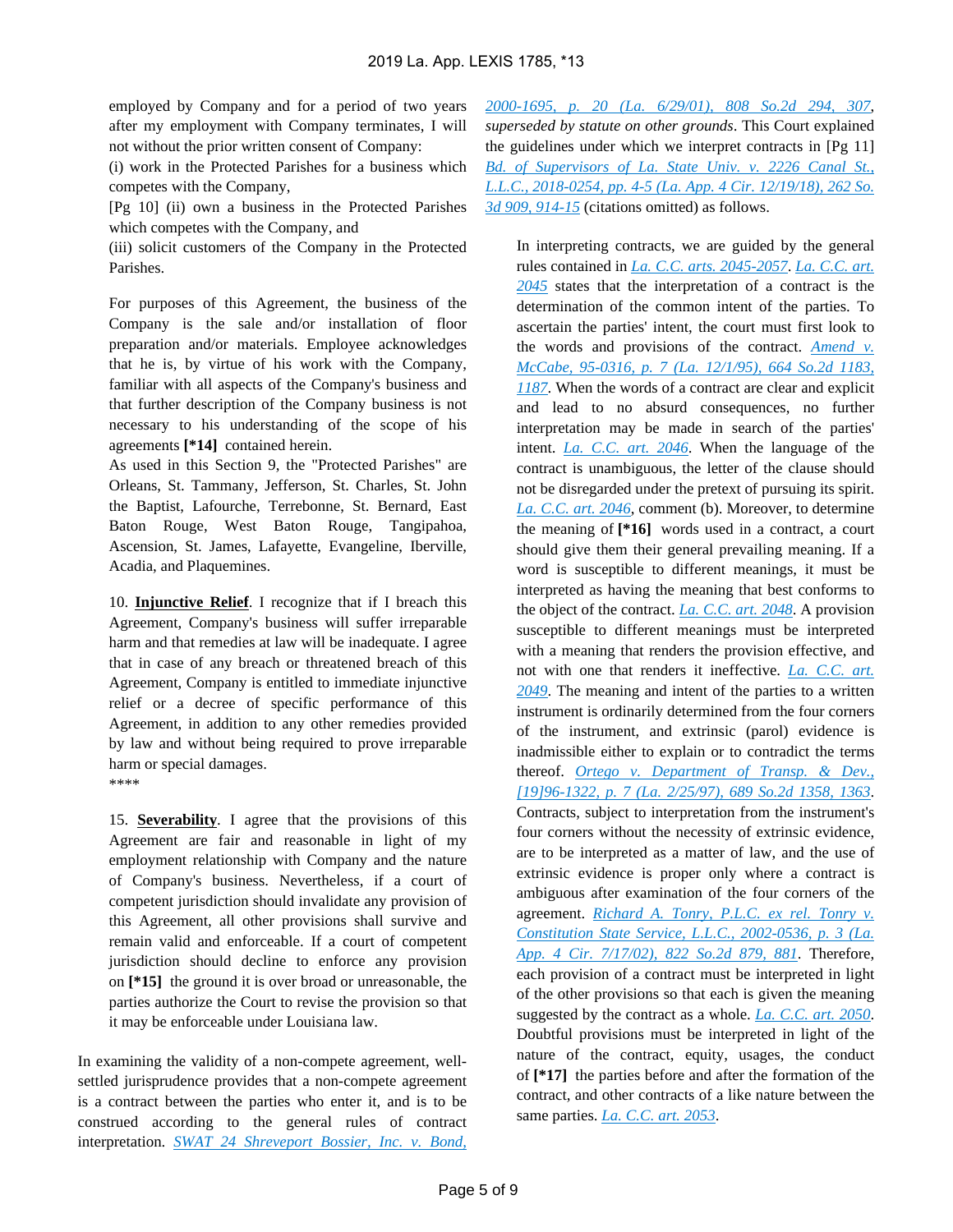employed by Company and for a period of two years after my employment with Company terminates, I will not without the prior written consent of Company:

(i) work in the Protected Parishes for a business which competes with the Company,

[Pg 10] (ii) own a business in the Protected Parishes which competes with the Company, and

(iii) solicit customers of the Company in the Protected Parishes.

For purposes of this Agreement, the business of the Company is the sale and/or installation of floor preparation and/or materials. Employee acknowledges that he is, by virtue of his work with the Company, familiar with all aspects of the Company's business and that further description of the Company business is not necessary to his understanding of the scope of his agreements **[\*14]** contained herein.

As used in this Section 9, the "Protected Parishes" are Orleans, St. Tammany, Jefferson, St. Charles, St. John the Baptist, Lafourche, Terrebonne, St. Bernard, East Baton Rouge, West Baton Rouge, Tangipahoa, Ascension, St. James, Lafayette, Evangeline, Iberville, Acadia, and Plaquemines.

10. **Injunctive Relief**. I recognize that if I breach this Agreement, Company's business will suffer irreparable harm and that remedies at law will be inadequate. I agree that in case of any breach or threatened breach of this Agreement, Company is entitled to immediate injunctive relief or a decree of specific performance of this Agreement, in addition to any other remedies provided by law and without being required to prove irreparable harm or special damages. \*\*\*\*

15. **Severability**. I agree that the provisions of this Agreement are fair and reasonable in light of my employment relationship with Company and the nature of Company's business. Nevertheless, if a court of competent jurisdiction should invalidate any provision of this Agreement, all other provisions shall survive and remain valid and enforceable. If a court of competent jurisdiction should decline to enforce any provision on **[\*15]** the ground it is over broad or unreasonable, the parties authorize the Court to revise the provision so that it may be enforceable under Louisiana law.

In examining the validity of a non-compete agreement, wellsettled jurisprudence provides that a non-compete agreement is a contract between the parties who enter it, and is to be construed according to the general rules of contract interpretation. *[SWAT 24 Shreveport Bossier, Inc. v. Bond,](https://advance.lexis.com/api/document?collection=cases&id=urn:contentItem:43F8-SS90-0039-4289-00000-00&context=)* 

*[2000-1695, p. 20 \(La. 6/29/01\), 808 So.2d 294, 307](https://advance.lexis.com/api/document?collection=cases&id=urn:contentItem:43F8-SS90-0039-4289-00000-00&context=)*, *superseded by statute on other grounds*. This Court explained the guidelines under which we interpret contracts in [Pg 11] *[Bd. of Supervisors of La. State Univ. v. 2226 Canal St.,](https://advance.lexis.com/api/document?collection=cases&id=urn:contentItem:5V0R-PKC1-JCRC-B0S0-00000-00&context=)  [L.L.C., 2018-0254, pp. 4-5 \(La. App. 4 Cir. 12/19/18\), 262 So.](https://advance.lexis.com/api/document?collection=cases&id=urn:contentItem:5V0R-PKC1-JCRC-B0S0-00000-00&context=)  [3d 909, 914-15](https://advance.lexis.com/api/document?collection=cases&id=urn:contentItem:5V0R-PKC1-JCRC-B0S0-00000-00&context=)* (citations omitted) as follows.

In interpreting contracts, we are guided by the general rules contained in *[La. C.C. arts. 2045-2057](https://advance.lexis.com/api/document?collection=statutes-legislation&id=urn:contentItem:5FH0-V021-DYB7-W22W-00000-00&context=)*. *[La. C.C. art.](https://advance.lexis.com/api/document?collection=statutes-legislation&id=urn:contentItem:5FH0-V021-DYB7-W22W-00000-00&context=)  [2045](https://advance.lexis.com/api/document?collection=statutes-legislation&id=urn:contentItem:5FH0-V021-DYB7-W22W-00000-00&context=)* states that the interpretation of a contract is the determination of the common intent of the parties. To ascertain the parties' intent, the court must first look to the words and provisions of the contract. *[Amend v.](https://advance.lexis.com/api/document?collection=cases&id=urn:contentItem:3RX4-3SC0-003G-N38B-00000-00&context=)  [McCabe, 95-0316, p. 7 \(La. 12/1/95\), 664 So.2d 1183,](https://advance.lexis.com/api/document?collection=cases&id=urn:contentItem:3RX4-3SC0-003G-N38B-00000-00&context=)  [1187](https://advance.lexis.com/api/document?collection=cases&id=urn:contentItem:3RX4-3SC0-003G-N38B-00000-00&context=)*. When the words of a contract are clear and explicit and lead to no absurd consequences, no further interpretation may be made in search of the parties' intent. *[La. C.C. art. 2046](https://advance.lexis.com/api/document?collection=statutes-legislation&id=urn:contentItem:5FH0-V021-DYB7-W22X-00000-00&context=)*. When the language of the contract is unambiguous, the letter of the clause should not be disregarded under the pretext of pursuing its spirit. *[La. C.C. art. 2046](https://advance.lexis.com/api/document?collection=statutes-legislation&id=urn:contentItem:5FH0-V021-DYB7-W22X-00000-00&context=)*, comment (b). Moreover, to determine the meaning of **[\*16]** words used in a contract, a court should give them their general prevailing meaning. If a word is susceptible to different meanings, it must be interpreted as having the meaning that best conforms to the object of the contract. *[La. C.C. art. 2048](https://advance.lexis.com/api/document?collection=statutes-legislation&id=urn:contentItem:5FH0-V021-DYB7-W230-00000-00&context=)*. A provision susceptible to different meanings must be interpreted with a meaning that renders the provision effective, and not with one that renders it ineffective. *[La. C.C. art.](https://advance.lexis.com/api/document?collection=statutes-legislation&id=urn:contentItem:5FH0-V021-DYB7-W231-00000-00&context=)  [2049](https://advance.lexis.com/api/document?collection=statutes-legislation&id=urn:contentItem:5FH0-V021-DYB7-W231-00000-00&context=)*. The meaning and intent of the parties to a written instrument is ordinarily determined from the four corners of the instrument, and extrinsic (parol) evidence is inadmissible either to explain or to contradict the terms thereof. *[Ortego v. Department of Transp. & Dev.,](https://advance.lexis.com/api/document?collection=cases&id=urn:contentItem:3RJN-2K20-0039-43R3-00000-00&context=)  [\[19\]96-1322, p. 7 \(La. 2/25/97\), 689 So.2d 1358, 1363](https://advance.lexis.com/api/document?collection=cases&id=urn:contentItem:3RJN-2K20-0039-43R3-00000-00&context=)*. Contracts, subject to interpretation from the instrument's four corners without the necessity of extrinsic evidence, are to be interpreted as a matter of law, and the use of extrinsic evidence is proper only where a contract is ambiguous after examination of the four corners of the agreement. *[Richard A. Tonry, P.L.C. ex rel. Tonry v.](https://advance.lexis.com/api/document?collection=cases&id=urn:contentItem:46DG-BPM0-0039-416S-00000-00&context=)  [Constitution State Service, L.L.C., 2002-0536, p. 3 \(La.](https://advance.lexis.com/api/document?collection=cases&id=urn:contentItem:46DG-BPM0-0039-416S-00000-00&context=)  [App. 4 Cir. 7/17/02\), 822 So.2d 879, 881](https://advance.lexis.com/api/document?collection=cases&id=urn:contentItem:46DG-BPM0-0039-416S-00000-00&context=)*. Therefore, each provision of a contract must be interpreted in light of the other provisions so that each is given the meaning suggested by the contract as a whole. *[La. C.C. art. 2050](https://advance.lexis.com/api/document?collection=statutes-legislation&id=urn:contentItem:5FH0-V021-DYB7-W232-00000-00&context=)*. Doubtful provisions must be interpreted in light of the nature of the contract, equity, usages, the conduct of **[\*17]** the parties before and after the formation of the contract, and other contracts of a like nature between the same parties. *[La. C.C. art. 2053](https://advance.lexis.com/api/document?collection=statutes-legislation&id=urn:contentItem:5FH0-V021-DYB7-W235-00000-00&context=)*.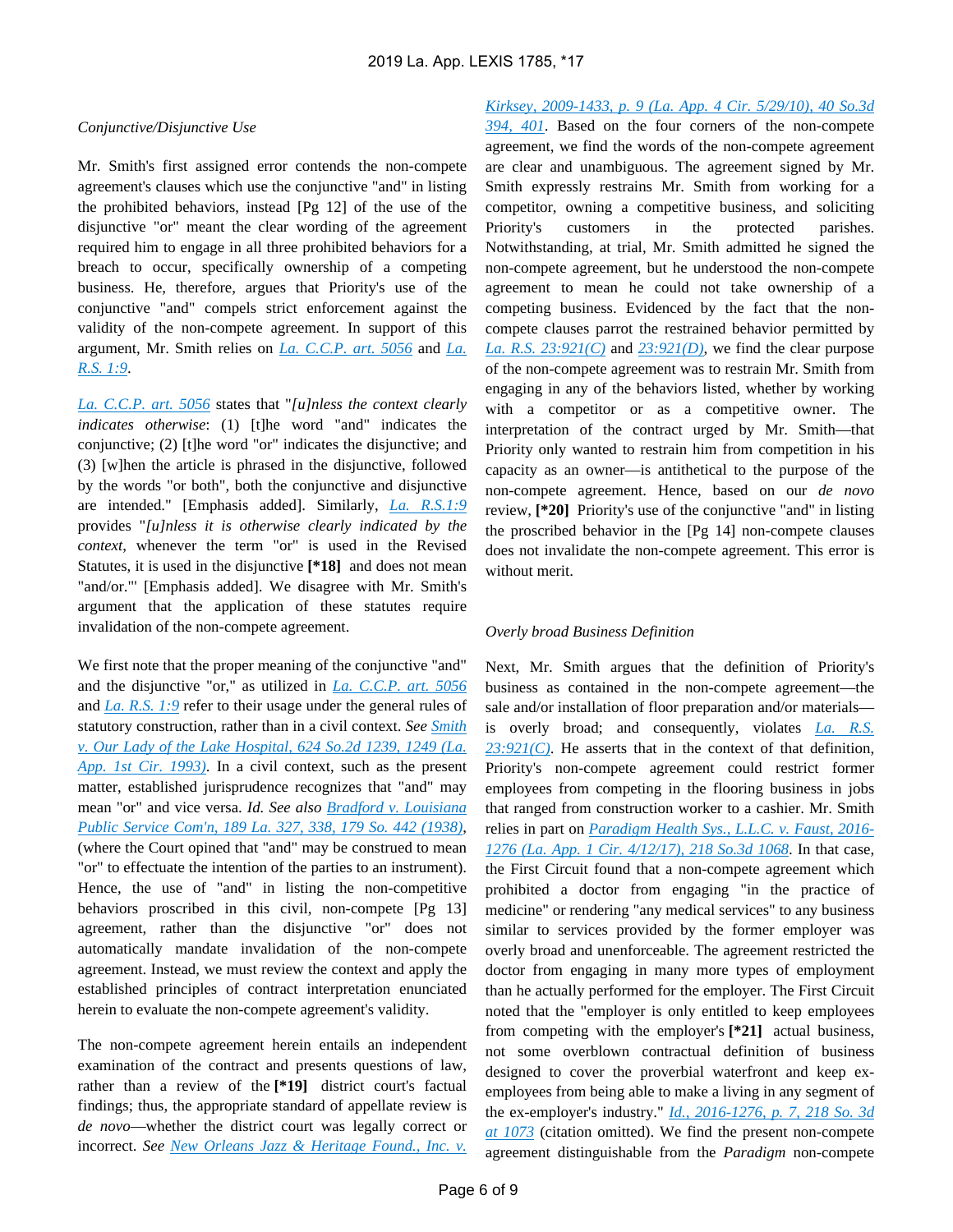#### *Conjunctive/Disjunctive Use*

Mr. Smith's first assigned error contends the non-compete agreement's clauses which use the conjunctive "and" in listing the prohibited behaviors, instead [Pg 12] of the use of the disjunctive "or" meant the clear wording of the agreement required him to engage in all three prohibited behaviors for a breach to occur, specifically ownership of a competing business. He, therefore, argues that Priority's use of the conjunctive "and" compels strict enforcement against the validity of the non-compete agreement. In support of this argument, Mr. Smith relies on *[La. C.C.P. art. 5056](https://advance.lexis.com/api/document?collection=statutes-legislation&id=urn:contentItem:5FGM-00R1-DYB7-W2J1-00000-00&context=)* and *[La.](https://advance.lexis.com/api/document?collection=statutes-legislation&id=urn:contentItem:5FH1-48K1-DYB7-W3MV-00000-00&context=)  [R.S. 1:9](https://advance.lexis.com/api/document?collection=statutes-legislation&id=urn:contentItem:5FH1-48K1-DYB7-W3MV-00000-00&context=)*.

*[La. C.C.P. art. 5056](https://advance.lexis.com/api/document?collection=statutes-legislation&id=urn:contentItem:5FGM-00R1-DYB7-W2J1-00000-00&context=)* states that "*[u]nless the context clearly indicates otherwise*: (1) [t]he word "and" indicates the conjunctive; (2) [t]he word "or" indicates the disjunctive; and (3) [w]hen the article is phrased in the disjunctive, followed by the words "or both", both the conjunctive and disjunctive are intended." [Emphasis added]. Similarly, *[La. R.S.1:9](https://advance.lexis.com/api/document?collection=statutes-legislation&id=urn:contentItem:5FH1-48K1-DYB7-W3MV-00000-00&context=)* provides "*[u]nless it is otherwise clearly indicated by the context*, whenever the term "or" is used in the Revised Statutes, it is used in the disjunctive **[\*18]** and does not mean "and/or."' [Emphasis added]. We disagree with Mr. Smith's argument that the application of these statutes require invalidation of the non-compete agreement.

We first note that the proper meaning of the conjunctive "and" and the disjunctive "or," as utilized in *[La. C.C.P. art. 5056](https://advance.lexis.com/api/document?collection=statutes-legislation&id=urn:contentItem:5FGM-00R1-DYB7-W2J1-00000-00&context=)* and *[La. R.S. 1:9](https://advance.lexis.com/api/document?collection=statutes-legislation&id=urn:contentItem:5FH1-48K1-DYB7-W3MV-00000-00&context=)* refer to their usage under the general rules of statutory construction, rather than in a civil context. *See [Smith](https://advance.lexis.com/api/document?collection=cases&id=urn:contentItem:3RX4-B1F0-003G-N226-00000-00&context=)  [v. Our Lady of the Lake Hospital, 624 So.2d 1239, 1249 \(La.](https://advance.lexis.com/api/document?collection=cases&id=urn:contentItem:3RX4-B1F0-003G-N226-00000-00&context=)  [App. 1st Cir. 1993\)](https://advance.lexis.com/api/document?collection=cases&id=urn:contentItem:3RX4-B1F0-003G-N226-00000-00&context=)*. In a civil context, such as the present matter, established jurisprudence recognizes that "and" may mean "or" and vice versa. *Id. See also [Bradford v. Louisiana](https://advance.lexis.com/api/document?collection=cases&id=urn:contentItem:3S3K-7270-003G-40W4-00000-00&context=)  [Public Service Com'n, 189 La. 327, 338, 179 So. 442 \(1938\)](https://advance.lexis.com/api/document?collection=cases&id=urn:contentItem:3S3K-7270-003G-40W4-00000-00&context=)*, (where the Court opined that "and" may be construed to mean "or" to effectuate the intention of the parties to an instrument). Hence, the use of "and" in listing the non-competitive behaviors proscribed in this civil, non-compete [Pg 13] agreement, rather than the disjunctive "or" does not automatically mandate invalidation of the non-compete agreement. Instead, we must review the context and apply the established principles of contract interpretation enunciated herein to evaluate the non-compete agreement's validity.

The non-compete agreement herein entails an independent examination of the contract and presents questions of law, rather than a review of the **[\*19]** district court's factual findings; thus, the appropriate standard of appellate review is *de novo*—whether the district court was legally correct or incorrect. *See [New Orleans Jazz & Heritage Found., Inc. v.](https://advance.lexis.com/api/document?collection=cases&id=urn:contentItem:7YKS-JJ81-2RHN-N063-00000-00&context=)* 

*[Kirksey, 2009-1433, p. 9 \(La. App. 4 Cir. 5/29/10\), 40 So.3d](https://advance.lexis.com/api/document?collection=cases&id=urn:contentItem:7YKS-JJ81-2RHN-N063-00000-00&context=)  [394, 401](https://advance.lexis.com/api/document?collection=cases&id=urn:contentItem:7YKS-JJ81-2RHN-N063-00000-00&context=)*. Based on the four corners of the non-compete agreement, we find the words of the non-compete agreement are clear and unambiguous. The agreement signed by Mr. Smith expressly restrains Mr. Smith from working for a competitor, owning a competitive business, and soliciting Priority's customers in the protected parishes. Notwithstanding, at trial, Mr. Smith admitted he signed the non-compete agreement, but he understood the non-compete agreement to mean he could not take ownership of a competing business. Evidenced by the fact that the noncompete clauses parrot the restrained behavior permitted by *[La. R.S. 23:921\(C\)](https://advance.lexis.com/api/document?collection=statutes-legislation&id=urn:contentItem:5GCR-5K51-DXC8-0121-00000-00&context=)* and *[23:921\(D\)](https://advance.lexis.com/api/document?collection=statutes-legislation&id=urn:contentItem:5GCR-5K51-DXC8-0121-00000-00&context=)*, we find the clear purpose of the non-compete agreement was to restrain Mr. Smith from engaging in any of the behaviors listed, whether by working with a competitor or as a competitive owner. The interpretation of the contract urged by Mr. Smith—that Priority only wanted to restrain him from competition in his capacity as an owner—is antithetical to the purpose of the non-compete agreement. Hence, based on our *de novo* review, **[\*20]** Priority's use of the conjunctive "and" in listing the proscribed behavior in the [Pg 14] non-compete clauses does not invalidate the non-compete agreement. This error is without merit.

#### *Overly broad Business Definition*

Next, Mr. Smith argues that the definition of Priority's business as contained in the non-compete agreement—the sale and/or installation of floor preparation and/or materials is overly broad; and consequently, violates *[La. R.S.](https://advance.lexis.com/api/document?collection=statutes-legislation&id=urn:contentItem:5GCR-5K51-DXC8-0121-00000-00&context=)  [23:921\(C\)](https://advance.lexis.com/api/document?collection=statutes-legislation&id=urn:contentItem:5GCR-5K51-DXC8-0121-00000-00&context=)*. He asserts that in the context of that definition, Priority's non-compete agreement could restrict former employees from competing in the flooring business in jobs that ranged from construction worker to a cashier. Mr. Smith relies in part on *[Paradigm Health Sys., L.L.C. v. Faust, 2016-](https://advance.lexis.com/api/document?collection=cases&id=urn:contentItem:5N9B-M9S1-F04G-H0S6-00000-00&context=) [1276 \(La. App. 1 Cir. 4/12/17\), 218 So.3d 1068](https://advance.lexis.com/api/document?collection=cases&id=urn:contentItem:5N9B-M9S1-F04G-H0S6-00000-00&context=)*. In that case, the First Circuit found that a non-compete agreement which prohibited a doctor from engaging "in the practice of medicine" or rendering "any medical services" to any business similar to services provided by the former employer was overly broad and unenforceable. The agreement restricted the doctor from engaging in many more types of employment than he actually performed for the employer. The First Circuit noted that the "employer is only entitled to keep employees from competing with the employer's **[\*21]** actual business, not some overblown contractual definition of business designed to cover the proverbial waterfront and keep exemployees from being able to make a living in any segment of the ex-employer's industry." *[Id., 2016-1276, p. 7, 218 So. 3d](https://advance.lexis.com/api/document?collection=cases&id=urn:contentItem:5N9B-M9S1-F04G-H0S6-00000-00&context=)  [at 1073](https://advance.lexis.com/api/document?collection=cases&id=urn:contentItem:5N9B-M9S1-F04G-H0S6-00000-00&context=)* (citation omitted). We find the present non-compete agreement distinguishable from the *Paradigm* non-compete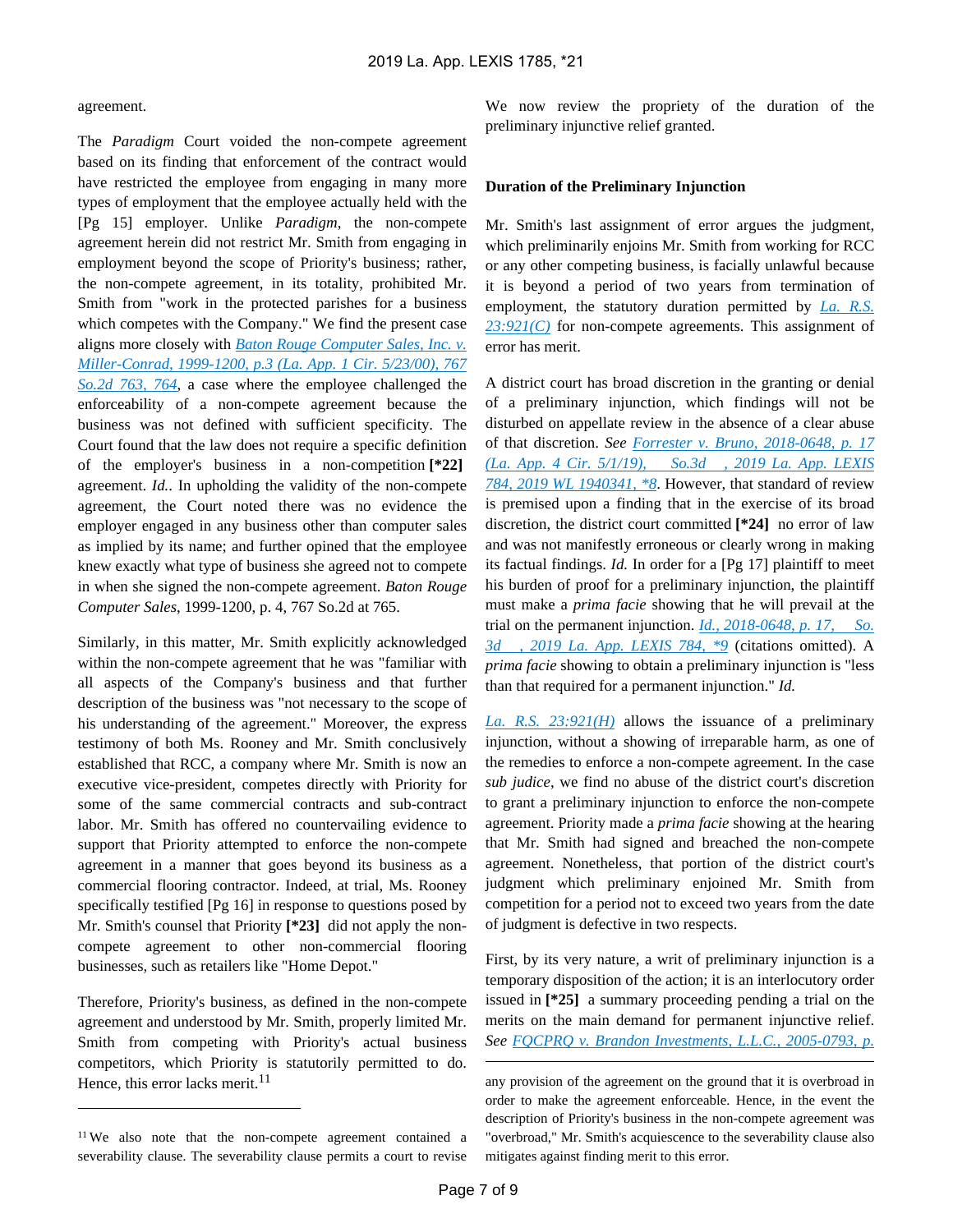#### agreement.

The *Paradigm* Court voided the non-compete agreement based on its finding that enforcement of the contract would have restricted the employee from engaging in many more types of employment that the employee actually held with the [Pg 15] employer. Unlike *Paradigm*, the non-compete agreement herein did not restrict Mr. Smith from engaging in employment beyond the scope of Priority's business; rather, the non-compete agreement, in its totality, prohibited Mr. Smith from "work in the protected parishes for a business which competes with the Company." We find the present case aligns more closely with *[Baton Rouge Computer Sales, Inc. v.](https://advance.lexis.com/api/document?collection=cases&id=urn:contentItem:40S8-1PW0-0039-402C-00000-00&context=)  [Miller-Conrad, 1999-1200, p.3 \(La. App. 1 Cir. 5/23/00\), 767](https://advance.lexis.com/api/document?collection=cases&id=urn:contentItem:40S8-1PW0-0039-402C-00000-00&context=)  [So.2d 763, 764](https://advance.lexis.com/api/document?collection=cases&id=urn:contentItem:40S8-1PW0-0039-402C-00000-00&context=)*, a case where the employee challenged the enforceability of a non-compete agreement because the business was not defined with sufficient specificity. The Court found that the law does not require a specific definition of the employer's business in a non-competition **[\*22]**  agreement. *Id.*. In upholding the validity of the non-compete agreement, the Court noted there was no evidence the employer engaged in any business other than computer sales as implied by its name; and further opined that the employee knew exactly what type of business she agreed not to compete in when she signed the non-compete agreement. *Baton Rouge Computer Sales*, 1999-1200, p. 4, 767 So.2d at 765.

Similarly, in this matter, Mr. Smith explicitly acknowledged within the non-compete agreement that he was "familiar with all aspects of the Company's business and that further description of the business was "not necessary to the scope of his understanding of the agreement." Moreover, the express testimony of both Ms. Rooney and Mr. Smith conclusively established that RCC, a company where Mr. Smith is now an executive vice-president, competes directly with Priority for some of the same commercial contracts and sub-contract labor. Mr. Smith has offered no countervailing evidence to support that Priority attempted to enforce the non-compete agreement in a manner that goes beyond its business as a commercial flooring contractor. Indeed, at trial, Ms. Rooney specifically testified [Pg 16] in response to questions posed by Mr. Smith's counsel that Priority **[\*23]** did not apply the noncompete agreement to other non-commercial flooring businesses, such as retailers like "Home Depot."

Therefore, Priority's business, as defined in the non-compete agreement and understood by Mr. Smith, properly limited Mr. Smith from competing with Priority's actual business competitors, which Priority is statutorily permitted to do. Hence, this error lacks merit. $^{11}$ 

We now review the propriety of the duration of the preliminary injunctive relief granted.

#### **Duration of the Preliminary Injunction**

Mr. Smith's last assignment of error argues the judgment, which preliminarily enjoins Mr. Smith from working for RCC or any other competing business, is facially unlawful because it is beyond a period of two years from termination of employment, the statutory duration permitted by *La. R.S. [23:921\(C\)](https://advance.lexis.com/api/document?collection=statutes-legislation&id=urn:contentItem:5GCR-5K51-DXC8-0121-00000-00&context=)* for non-compete agreements. This assignment of error has merit.

A district court has broad discretion in the granting or denial of a preliminary injunction, which findings will not be disturbed on appellate review in the absence of a clear abuse of that discretion. *See [Forrester v. Bruno, 2018-0648, p. 17](https://advance.lexis.com/api/document?collection=cases&id=urn:contentItem:5W13-S341-F956-S0N9-00000-00&context=)  [\(La. App. 4 Cir. 5/1/19\), So.3d , 2019 La. App. LEXIS](https://advance.lexis.com/api/document?collection=cases&id=urn:contentItem:5W13-S341-F956-S0N9-00000-00&context=)  [784, 2019 WL 1940341, \\*8](https://advance.lexis.com/api/document?collection=cases&id=urn:contentItem:5W13-S341-F956-S0N9-00000-00&context=)*. However, that standard of review is premised upon a finding that in the exercise of its broad discretion, the district court committed **[\*24]** no error of law and was not manifestly erroneous or clearly wrong in making its factual findings. *Id.* In order for a [Pg 17] plaintiff to meet his burden of proof for a preliminary injunction, the plaintiff must make a *prima facie* showing that he will prevail at the trial on the permanent injunction. *[Id., 2018-0648, p. 17, So.](https://advance.lexis.com/api/document?collection=cases&id=urn:contentItem:5W13-S341-F956-S0N9-00000-00&context=)  [3d , 2019 La. App. LEXIS 784, \\*9](https://advance.lexis.com/api/document?collection=cases&id=urn:contentItem:5W13-S341-F956-S0N9-00000-00&context=)* (citations omitted). A *prima facie* showing to obtain a preliminary injunction is "less than that required for a permanent injunction." *Id.*

*[La. R.S. 23:921\(H\)](https://advance.lexis.com/api/document?collection=statutes-legislation&id=urn:contentItem:5GCR-5K51-DXC8-0121-00000-00&context=)* allows the issuance of a preliminary injunction, without a showing of irreparable harm, as one of the remedies to enforce a non-compete agreement. In the case *sub judice*, we find no abuse of the district court's discretion to grant a preliminary injunction to enforce the non-compete agreement. Priority made a *prima facie* showing at the hearing that Mr. Smith had signed and breached the non-compete agreement. Nonetheless, that portion of the district court's judgment which preliminary enjoined Mr. Smith from competition for a period not to exceed two years from the date of judgment is defective in two respects.

First, by its very nature, a writ of preliminary injunction is a temporary disposition of the action; it is an interlocutory order issued in **[\*25]** a summary proceeding pending a trial on the merits on the main demand for permanent injunctive relief. *See [FQCPRQ v. Brandon Investments, L.L.C., 2005-0793, p.](https://advance.lexis.com/api/document?collection=cases&id=urn:contentItem:4K18-SD80-0039-42C0-00000-00&context=)* 

<sup>11</sup>We also note that the non-compete agreement contained a severability clause. The severability clause permits a court to revise

any provision of the agreement on the ground that it is overbroad in order to make the agreement enforceable. Hence, in the event the description of Priority's business in the non-compete agreement was "overbroad," Mr. Smith's acquiescence to the severability clause also mitigates against finding merit to this error.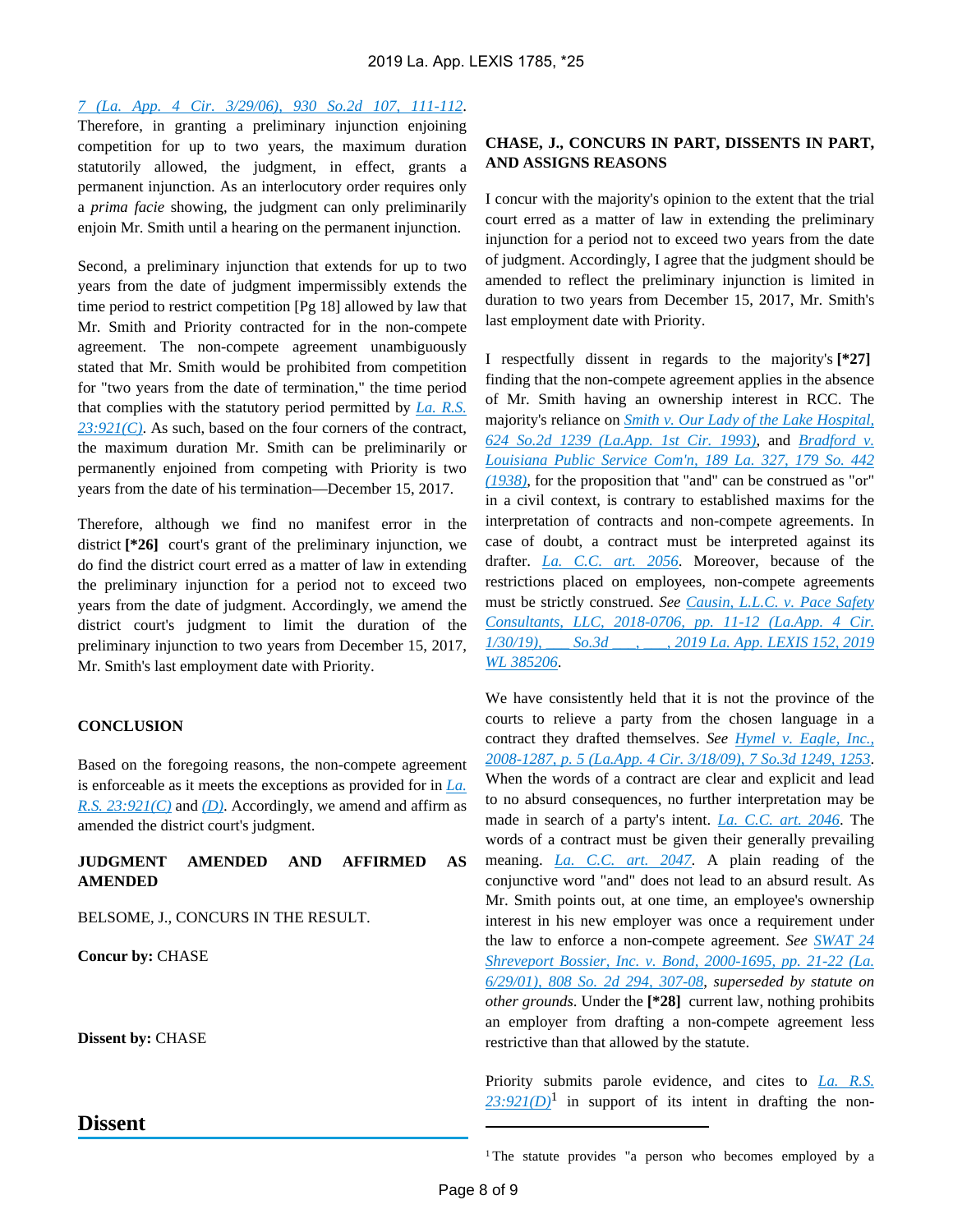*[7 \(La. App. 4 Cir. 3/29/06\), 930 So.2d 107, 111-112](https://advance.lexis.com/api/document?collection=cases&id=urn:contentItem:4K18-SD80-0039-42C0-00000-00&context=)*.

Therefore, in granting a preliminary injunction enjoining competition for up to two years, the maximum duration statutorily allowed, the judgment, in effect, grants a permanent injunction. As an interlocutory order requires only a *prima facie* showing, the judgment can only preliminarily enjoin Mr. Smith until a hearing on the permanent injunction.

Second, a preliminary injunction that extends for up to two years from the date of judgment impermissibly extends the time period to restrict competition [Pg 18] allowed by law that Mr. Smith and Priority contracted for in the non-compete agreement. The non-compete agreement unambiguously stated that Mr. Smith would be prohibited from competition for "two years from the date of termination," the time period that complies with the statutory period permitted by *[La. R.S.](https://advance.lexis.com/api/document?collection=statutes-legislation&id=urn:contentItem:5GCR-5K51-DXC8-0121-00000-00&context=)  [23:921\(C\)](https://advance.lexis.com/api/document?collection=statutes-legislation&id=urn:contentItem:5GCR-5K51-DXC8-0121-00000-00&context=)*. As such, based on the four corners of the contract, the maximum duration Mr. Smith can be preliminarily or permanently enjoined from competing with Priority is two years from the date of his termination—December 15, 2017.

Therefore, although we find no manifest error in the district **[\*26]** court's grant of the preliminary injunction, we do find the district court erred as a matter of law in extending the preliminary injunction for a period not to exceed two years from the date of judgment. Accordingly, we amend the district court's judgment to limit the duration of the preliminary injunction to two years from December 15, 2017, Mr. Smith's last employment date with Priority.

#### **CONCLUSION**

Based on the foregoing reasons, the non-compete agreement is enforceable as it meets the exceptions as provided for in *[La.](https://advance.lexis.com/api/document?collection=statutes-legislation&id=urn:contentItem:5GCR-5K51-DXC8-0121-00000-00&context=)  [R.S. 23:921\(C\)](https://advance.lexis.com/api/document?collection=statutes-legislation&id=urn:contentItem:5GCR-5K51-DXC8-0121-00000-00&context=)* and *[\(D\)](https://advance.lexis.com/api/document?collection=statutes-legislation&id=urn:contentItem:5GCR-5K51-DXC8-0121-00000-00&context=)*. Accordingly, we amend and affirm as amended the district court's judgment.

## **JUDGMENT AMENDED AND AFFIRMED AS AMENDED**

BELSOME, J., CONCURS IN THE RESULT.

**Concur by:** CHASE

**Dissent by:** CHASE

## **Dissent**

## **CHASE, J., CONCURS IN PART, DISSENTS IN PART, AND ASSIGNS REASONS**

I concur with the majority's opinion to the extent that the trial court erred as a matter of law in extending the preliminary injunction for a period not to exceed two years from the date of judgment. Accordingly, I agree that the judgment should be amended to reflect the preliminary injunction is limited in duration to two years from December 15, 2017, Mr. Smith's last employment date with Priority.

I respectfully dissent in regards to the majority's **[\*27]**  finding that the non-compete agreement applies in the absence of Mr. Smith having an ownership interest in RCC. The majority's reliance on *[Smith v. Our Lady of the Lake Hospital,](https://advance.lexis.com/api/document?collection=cases&id=urn:contentItem:3RX4-B1F0-003G-N226-00000-00&context=)  [624 So.2d 1239 \(La.App. 1st Cir. 1993\)](https://advance.lexis.com/api/document?collection=cases&id=urn:contentItem:3RX4-B1F0-003G-N226-00000-00&context=)*, and *[Bradford v.](https://advance.lexis.com/api/document?collection=cases&id=urn:contentItem:3S3K-7270-003G-40W4-00000-00&context=)  [Louisiana Public Service Com'n, 189 La. 327, 179 So. 442](https://advance.lexis.com/api/document?collection=cases&id=urn:contentItem:3S3K-7270-003G-40W4-00000-00&context=)  [\(1938\)](https://advance.lexis.com/api/document?collection=cases&id=urn:contentItem:3S3K-7270-003G-40W4-00000-00&context=)*, for the proposition that "and" can be construed as "or" in a civil context, is contrary to established maxims for the interpretation of contracts and non-compete agreements. In case of doubt, a contract must be interpreted against its drafter. *[La. C.C. art. 2056](https://advance.lexis.com/api/document?collection=statutes-legislation&id=urn:contentItem:5FH0-V021-DYB7-W238-00000-00&context=)*. Moreover, because of the restrictions placed on employees, non-compete agreements must be strictly construed. *See [Causin, L.L.C. v. Pace Safety](https://advance.lexis.com/api/document?collection=cases&id=urn:contentItem:5V9P-J6N1-FC6N-X1Y7-00000-00&context=)  [Consultants, LLC, 2018-0706, pp. 11-12 \(La.App. 4 Cir.](https://advance.lexis.com/api/document?collection=cases&id=urn:contentItem:5V9P-J6N1-FC6N-X1Y7-00000-00&context=)  [1/30/19\), \\_\\_\\_ So.3d \\_\\_\\_, \\_\\_\\_, 2019 La. App. LEXIS 152, 2019](https://advance.lexis.com/api/document?collection=cases&id=urn:contentItem:5V9P-J6N1-FC6N-X1Y7-00000-00&context=)  [WL 385206](https://advance.lexis.com/api/document?collection=cases&id=urn:contentItem:5V9P-J6N1-FC6N-X1Y7-00000-00&context=)*.

We have consistently held that it is not the province of the courts to relieve a party from the chosen language in a contract they drafted themselves. *See [Hymel v. Eagle, Inc.,](https://advance.lexis.com/api/document?collection=cases&id=urn:contentItem:4VWB-SCC0-TXFT-31R2-00000-00&context=)  [2008-1287, p. 5 \(La.App. 4 Cir. 3/18/09\), 7 So.3d 1249, 1253](https://advance.lexis.com/api/document?collection=cases&id=urn:contentItem:4VWB-SCC0-TXFT-31R2-00000-00&context=)*. When the words of a contract are clear and explicit and lead to no absurd consequences, no further interpretation may be made in search of a party's intent. *[La. C.C. art. 2046](https://advance.lexis.com/api/document?collection=statutes-legislation&id=urn:contentItem:5FH0-V021-DYB7-W22X-00000-00&context=)*. The words of a contract must be given their generally prevailing meaning. *[La. C.C. art. 2047](https://advance.lexis.com/api/document?collection=statutes-legislation&id=urn:contentItem:5FH0-V021-DYB7-W22Y-00000-00&context=)*. A plain reading of the conjunctive word "and" does not lead to an absurd result. As Mr. Smith points out, at one time, an employee's ownership interest in his new employer was once a requirement under the law to enforce a non-compete agreement. *See [SWAT 24](https://advance.lexis.com/api/document?collection=cases&id=urn:contentItem:43F8-SS90-0039-4289-00000-00&context=)  [Shreveport Bossier, Inc. v. Bond, 2000-1695, pp. 21-22 \(La.](https://advance.lexis.com/api/document?collection=cases&id=urn:contentItem:43F8-SS90-0039-4289-00000-00&context=)  [6/29/01\), 808 So. 2d 294, 307-08](https://advance.lexis.com/api/document?collection=cases&id=urn:contentItem:43F8-SS90-0039-4289-00000-00&context=)*, *superseded by statute on other grounds*. Under the **[\*28]** current law, nothing prohibits an employer from drafting a non-compete agreement less restrictive than that allowed by the statute.

Priority submits parole evidence, and cites to *[La. R.S.](https://advance.lexis.com/api/document?collection=statutes-legislation&id=urn:contentItem:5GCR-5K51-DXC8-0121-00000-00&context=)*   $23:921(D)^1$  $23:921(D)^1$  in support of its intent in drafting the non-

<sup>&</sup>lt;sup>1</sup>The statute provides "a person who becomes employed by a